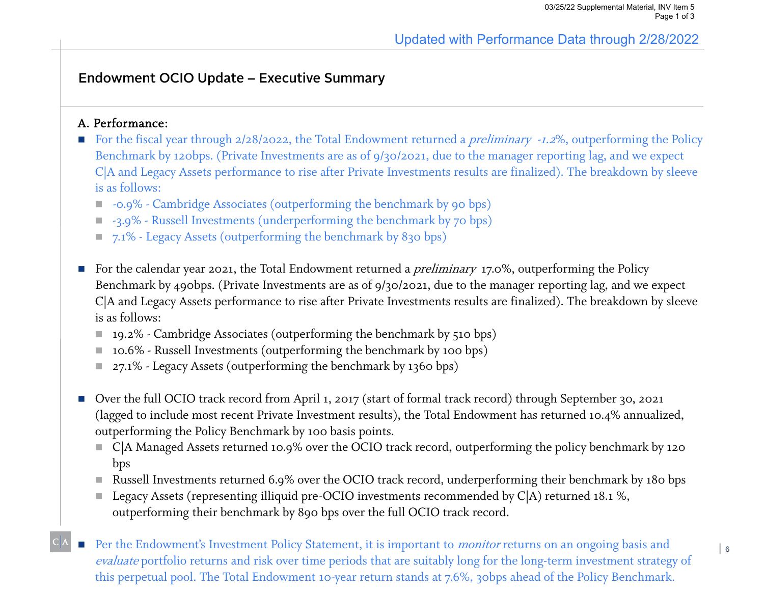### Endowment OCIO Update – Executive Summary

#### A. Performance:

- For the fiscal year through 2/28/2022, the Total Endowment returned a *preliminary -1.2*%, outperforming the Policy Benchmark by 120bps. (Private Investments are as of 9/30/2021, due to the manager reporting lag, and we expect C|A and Legacy Assets performance to rise after Private Investments results are finalized). The breakdown by sleeve is as follows:
	- -0.9% Cambridge Associates (outperforming the benchmark by 90 bps)
	- -3.9% Russell Investments (underperforming the benchmark by 70 bps)
	- 7.1% Legacy Assets (outperforming the benchmark by 830 bps)
- For the calendar year 2021, the Total Endowment returned a *preliminary* 17.0%, outperforming the Policy Benchmark by 490bps. (Private Investments are as of 9/30/2021, due to the manager reporting lag, and we expect C|A and Legacy Assets performance to rise after Private Investments results are finalized). The breakdown by sleeve is as follows:
	- 19.2% Cambridge Associates (outperforming the benchmark by 510 bps)
	- $\blacksquare$  10.6% Russell Investments (outperforming the benchmark by 100 bps)
	- 27.1% Legacy Assets (outperforming the benchmark by 1360 bps)
- Over the full OCIO track record from April 1, 2017 (start of formal track record) through September 30, 2021 (lagged to include most recent Private Investment results), the Total Endowment has returned 10.4% annualized, outperforming the Policy Benchmark by 100 basis points.
	- $\blacksquare$  C|A Managed Assets returned 10.9% over the OCIO track record, outperforming the policy benchmark by 120 bps
	- Russell Investments returned 6.9% over the OCIO track record, underperforming their benchmark by 180 bps
	- Legacy Assets (representing illiquid pre-OCIO investments recommended by C|A) returned 18.1 %, outperforming their benchmark by 890 bps over the full OCIO track record.
- E Per the Endowment's Investment Policy Statement, it is important to *monitor* returns on an ongoing basis and evaluate portfolio returns and risk over time periods that are suitably long for the long-term investment strategy of this perpetual pool. The Total Endowment 10-year return stands at 7.6%, 30bps ahead of the Policy Benchmark.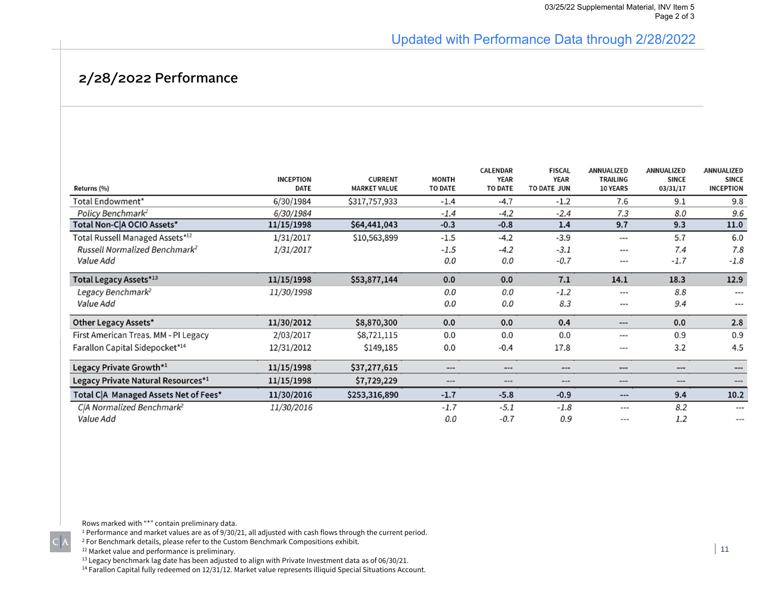## Updated with Performance Data through 2/28/2022

## 2/28/2022 Performance

|                                           | <b>INCEPTION</b> | <b>CURRENT</b>      | <b>MONTH</b>   | <b>CALENDAR</b><br><b>YEAR</b> | <b>FISCAL</b><br><b>YEAR</b> | ANNUALIZED<br><b>TRAILING</b> | ANNUALIZED<br><b>SINCE</b> | ANNUALIZED<br><b>SINCE</b> |
|-------------------------------------------|------------------|---------------------|----------------|--------------------------------|------------------------------|-------------------------------|----------------------------|----------------------------|
| Returns (%)                               | DATE             | <b>MARKET VALUE</b> | <b>TO DATE</b> | <b>TO DATE</b>                 | TO DATE JUN                  | <b>10 YEARS</b>               | 03/31/17                   | <b>INCEPTION</b>           |
| Total Endowment*                          | 6/30/1984        | \$317,757,933       | $-1.4$         | $-4.7$                         | $-1.2$                       | 7.6                           | 9.1                        | 9.8                        |
| Policy Benchmark <sup>2</sup>             | 6/30/1984        |                     | $-1.4$         | $-4.2$                         | $-2.4$                       | 7.3                           | 8.0                        | 9.6                        |
| Total Non-C A OCIO Assets*                | 11/15/1998       | \$64,441,043        | $-0.3$         | $-0.8$                         | 1.4                          | 9.7                           | 9.3                        | 11.0                       |
| Total Russell Managed Assets*12           | 1/31/2017        | \$10,563,899        | $-1.5$         | $-4.2$                         | $-3.9$                       | $\cdots$                      | 5.7                        | 6.0                        |
| Russell Normalized Benchmark <sup>2</sup> | 1/31/2017        |                     | $-1.5$         | $-4.2$                         | $-3.1$                       | $\cdots$                      | 7.4                        | 7.8                        |
| Value Add                                 |                  |                     | 0.0            | 0.0                            | $-0.7$                       | $- - -$                       | $-1.7$                     | $-1.8$                     |
| Total Legacy Assets*13                    | 11/15/1998       | \$53,877,144        | 0.0            | 0.0                            | 7.1                          | 14.1                          | 18.3                       | 12.9                       |
| Legacy Benchmark <sup>2</sup>             | 11/30/1998       |                     | 0.0            | 0.0                            | $-1.2$                       | $\cdots$                      | 8.8                        | ---                        |
| Value Add                                 |                  |                     | 0.0            | 0.0                            | 8.3                          | $- - -$                       | 9.4                        | $---$                      |
| Other Legacy Assets*                      | 11/30/2012       | \$8,870,300         | 0.0            | 0.0                            | 0.4                          | ---                           | 0.0                        | 2.8                        |
| First American Treas. MM - PI Legacy      | 2/03/2017        | \$8,721,115         | 0.0            | 0.0                            | 0.0                          | ---                           | 0.9                        | 0.9                        |
| Farallon Capital Sidepocket*14            | 12/31/2012       | \$149,185           | 0.0            | $-0.4$                         | 17.8                         | ---                           | 3.2                        | 4.5                        |
| Legacy Private Growth*1                   | 11/15/1998       | \$37,277,615        | $\cdots$       | $\cdots$                       | $\cdots$                     | $\cdots$                      | $\cdots$                   | ---                        |
| Legacy Private Natural Resources*1        | 11/15/1998       | \$7,729,229         | $\cdots$       | ---                            | $\cdots$                     | ---                           | $\cdots$                   | ---                        |
| Total C A Managed Assets Net of Fees*     | 11/30/2016       | \$253,316,890       | $-1.7$         | $-5.8$                         | $-0.9$                       | $- - -$                       | 9.4                        | 10.2                       |
| C A Normalized Benchmark <sup>2</sup>     | 11/30/2016       |                     | $-1.7$         | $-5.1$                         | $-1.8$                       | $- - -$                       | 8.2                        | $\frac{1}{2}$              |
| Value Add                                 |                  |                     | 0.0            | $-0.7$                         | 0.9                          | ---                           | 1.2                        | $***$                      |

Rows marked with "\*" contain preliminary data.

 $^{\rm 1}$  Performance and market values are as of 9/30/21, all adjusted with cash flows through the current period.

 $^2$  For Benchmark details, please refer to the Custom Benchmark Compositions exhibit.

<sup>12</sup> Market value and performance is preliminary.

 $C|A$ 

 $^{13}$  Legacy benchmark lag date has been adjusted to align with Private Investment data as of 06/30/21.

 $^{14}$  Farallon Capital fully redeemed on 12/31/12. Market value represents illiquid Special Situations Account.